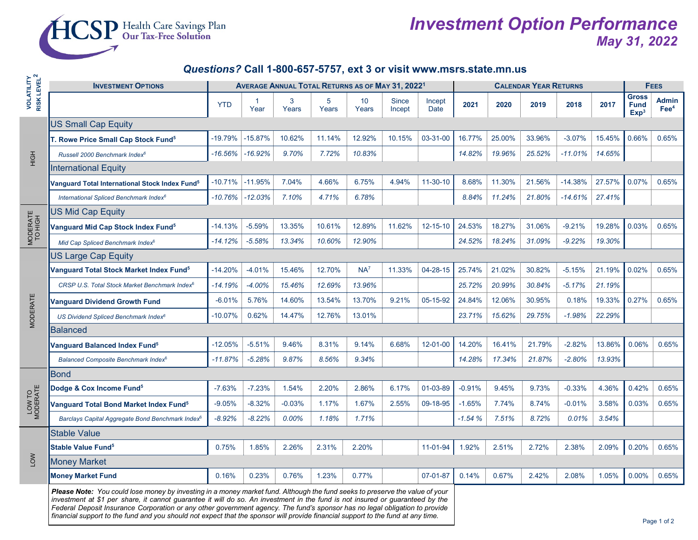

## *Investment Option Performance May 31, 2022*

## *Questions?* **Call 1-800-657-5757, ext 3 or visit www.msrs.state.mn.us**

| <b>VOLATILITY</b><br>RISK LEVEL <sup>2</sup> | <b>INVESTMENT OPTIONS</b>                                                                                                                                                                                                                                                                                                                                                                    | AVERAGE ANNUAL TOTAL RETURNS AS OF MAY 31, 2022 <sup>1</sup> |                      |                         |                          |                          |                        |                | <b>CALENDAR YEAR RETURNS</b> |        |        |           |        | <b>FEES</b>                                     |                        |  |
|----------------------------------------------|----------------------------------------------------------------------------------------------------------------------------------------------------------------------------------------------------------------------------------------------------------------------------------------------------------------------------------------------------------------------------------------------|--------------------------------------------------------------|----------------------|-------------------------|--------------------------|--------------------------|------------------------|----------------|------------------------------|--------|--------|-----------|--------|-------------------------------------------------|------------------------|--|
|                                              |                                                                                                                                                                                                                                                                                                                                                                                              | <b>YTD</b>                                                   | $\mathbf{1}$<br>Year | $\overline{3}$<br>Years | $5\phantom{.0}$<br>Years | 10 <sup>°</sup><br>Years | <b>Since</b><br>Incept | Incept<br>Date | 2021                         | 2020   | 2019   | 2018      | 2017   | <b>Gross</b><br><b>Fund</b><br>Exp <sup>3</sup> | Admin<br>$\text{Fe}^4$ |  |
| HộH                                          | <b>US Small Cap Equity</b>                                                                                                                                                                                                                                                                                                                                                                   |                                                              |                      |                         |                          |                          |                        |                |                              |        |        |           |        |                                                 |                        |  |
|                                              | <b>T. Rowe Price Small Cap Stock Fund<sup>5</sup></b>                                                                                                                                                                                                                                                                                                                                        | $-19.79%$                                                    | $-15.87%$            | 10.62%                  | 11.14%                   | 12.92%                   | 10.15%                 | 03-31-00       | 16.77%                       | 25.00% | 33.96% | $-3.07%$  | 15.45% | 0.66%                                           | 0.65%                  |  |
|                                              | Russell 2000 Benchmark Index <sup>6</sup>                                                                                                                                                                                                                                                                                                                                                    | $-16.56%$                                                    | $-16.92%$            | 9.70%                   | 7.72%                    | 10.83%                   |                        |                | 14.82%                       | 19.96% | 25.52% | $-11.01%$ | 14.65% |                                                 |                        |  |
|                                              | <b>International Equity</b>                                                                                                                                                                                                                                                                                                                                                                  |                                                              |                      |                         |                          |                          |                        |                |                              |        |        |           |        |                                                 |                        |  |
|                                              | Vanguard Total International Stock Index Fund <sup>5</sup>                                                                                                                                                                                                                                                                                                                                   | $-10.71%$                                                    | $-11.95%$            | 7.04%                   | 4.66%                    | 6.75%                    | 4.94%                  | 11-30-10       | 8.68%                        | 11.30% | 21.56% | $-14.38%$ | 27.57% | 0.07%                                           | 0.65%                  |  |
|                                              | International Spliced Benchmark Index <sup>6</sup>                                                                                                                                                                                                                                                                                                                                           | $-10.76%$                                                    | $-12.03%$            | 7.10%                   | 4.71%                    | 6.78%                    |                        |                | 8.84%                        | 11.24% | 21.80% | $-14.61%$ | 27.41% |                                                 |                        |  |
| MODERATE<br>TO HIGH                          | <b>US Mid Cap Equity</b>                                                                                                                                                                                                                                                                                                                                                                     |                                                              |                      |                         |                          |                          |                        |                |                              |        |        |           |        |                                                 |                        |  |
|                                              | Vanguard Mid Cap Stock Index Fund <sup>5</sup>                                                                                                                                                                                                                                                                                                                                               | $-14.13%$                                                    | $-5.59%$             | 13.35%                  | 10.61%                   | 12.89%                   | 11.62%                 | $12 - 15 - 10$ | 24.53%                       | 18.27% | 31.06% | $-9.21%$  | 19.28% | 0.03%                                           | 0.65%                  |  |
|                                              | Mid Cap Spliced Benchmark Index <sup>6</sup>                                                                                                                                                                                                                                                                                                                                                 | $-14.12%$                                                    | $-5.58%$             | 13.34%                  | 10.60%                   | 12.90%                   |                        |                | 24.52%                       | 18.24% | 31.09% | $-9.22%$  | 19.30% |                                                 |                        |  |
| MODERATE                                     | <b>US Large Cap Equity</b>                                                                                                                                                                                                                                                                                                                                                                   |                                                              |                      |                         |                          |                          |                        |                |                              |        |        |           |        |                                                 |                        |  |
|                                              | Vanguard Total Stock Market Index Fund <sup>5</sup>                                                                                                                                                                                                                                                                                                                                          | $-14.20%$                                                    | $-4.01%$             | 15.46%                  | 12.70%                   | $NA^7$                   | 11.33%                 | 04-28-15       | 25.74%                       | 21.02% | 30.82% | $-5.15%$  | 21.19% | 0.02%                                           | 0.65%                  |  |
|                                              | CRSP U.S. Total Stock Market Benchmark Index <sup>6</sup>                                                                                                                                                                                                                                                                                                                                    | $-14.19%$                                                    | $-4.00%$             | 15.46%                  | 12.69%                   | 13.96%                   |                        |                | 25.72%                       | 20.99% | 30.84% | $-5.17%$  | 21.19% |                                                 |                        |  |
|                                              | <b>Vanguard Dividend Growth Fund</b>                                                                                                                                                                                                                                                                                                                                                         | $-6.01%$                                                     | 5.76%                | 14.60%                  | 13.54%                   | 13.70%                   | 9.21%                  | 05-15-92       | 24.84%                       | 12.06% | 30.95% | 0.18%     | 19.33% | 0.27%                                           | 0.65%                  |  |
|                                              | US Dividend Spliced Benchmark Index <sup>6</sup>                                                                                                                                                                                                                                                                                                                                             | $-10.07%$                                                    | 0.62%                | 14.47%                  | 12.76%                   | 13.01%                   |                        |                | 23.71%                       | 15.62% | 29.75% | $-1.98%$  | 22.29% |                                                 |                        |  |
|                                              | Balanced                                                                                                                                                                                                                                                                                                                                                                                     |                                                              |                      |                         |                          |                          |                        |                |                              |        |        |           |        |                                                 |                        |  |
|                                              | <b>Vanguard Balanced Index Fund<sup>5</sup></b>                                                                                                                                                                                                                                                                                                                                              | $-12.05%$                                                    | $-5.51%$             | 9.46%                   | 8.31%                    | 9.14%                    | 6.68%                  | 12-01-00       | 14.20%                       | 16.41% | 21.79% | $-2.82%$  | 13.86% | 0.06%                                           | 0.65%                  |  |
|                                              | Balanced Composite Benchmark Index <sup>6</sup>                                                                                                                                                                                                                                                                                                                                              | $-11.87%$                                                    | $-5.28%$             | 9.87%                   | 8.56%                    | 9.34%                    |                        |                | 14.28%                       | 17.34% | 21.87% | $-2.80%$  | 13.93% |                                                 |                        |  |
| LOW TO<br>MODERATE                           | Bond                                                                                                                                                                                                                                                                                                                                                                                         |                                                              |                      |                         |                          |                          |                        |                |                              |        |        |           |        |                                                 |                        |  |
|                                              | Dodge & Cox Income Fund <sup>5</sup>                                                                                                                                                                                                                                                                                                                                                         | $-7.63%$                                                     | $-7.23%$             | 1.54%                   | 2.20%                    | 2.86%                    | 6.17%                  | 01-03-89       | $-0.91%$                     | 9.45%  | 9.73%  | $-0.33%$  | 4.36%  | 0.42%                                           | 0.65%                  |  |
|                                              | Vanguard Total Bond Market Index Fund <sup>5</sup>                                                                                                                                                                                                                                                                                                                                           | $-9.05%$                                                     | $-8.32%$             | $-0.03%$                | 1.17%                    | 1.67%                    | 2.55%                  | 09-18-95       | $-1.65%$                     | 7.74%  | 8.74%  | $-0.01%$  | 3.58%  | 0.03%                                           | 0.65%                  |  |
|                                              | Barclays Capital Aggregate Bond Benchmark Index <sup>6</sup>                                                                                                                                                                                                                                                                                                                                 | $-8.92%$                                                     | $-8.22%$             | 0.00%                   | 1.18%                    | 1.71%                    |                        |                | $-1.54%$                     | 7.51%  | 8.72%  | 0.01%     | 3.54%  |                                                 |                        |  |
| <b>NOT</b>                                   | <b>Stable Value</b>                                                                                                                                                                                                                                                                                                                                                                          |                                                              |                      |                         |                          |                          |                        |                |                              |        |        |           |        |                                                 |                        |  |
|                                              | <b>Stable Value Fund<sup>5</sup></b>                                                                                                                                                                                                                                                                                                                                                         | 0.75%                                                        | 1.85%                | 2.26%                   | 2.31%                    | 2.20%                    |                        | 11-01-94       | 1.92%                        | 2.51%  | 2.72%  | 2.38%     | 2.09%  | 0.20%                                           | 0.65%                  |  |
|                                              | <b>Money Market</b>                                                                                                                                                                                                                                                                                                                                                                          |                                                              |                      |                         |                          |                          |                        |                |                              |        |        |           |        |                                                 |                        |  |
|                                              | <b>Money Market Fund</b>                                                                                                                                                                                                                                                                                                                                                                     | 0.16%                                                        | 0.23%                | 0.76%                   | 1.23%                    | 0.77%                    |                        | 07-01-87       | 0.14%                        | 0.67%  | 2.42%  | 2.08%     | 1.05%  | 0.00%                                           | 0.65%                  |  |
|                                              | Please Note: You could lose money by investing in a money market fund. Although the fund seeks to preserve the value of your<br>investment at \$1 per share, it cannot guarantee it will do so. An investment in the fund is not insured or guaranteed by the<br>Federal Deposit Insurance Corporation or any other government agency. The fund's sponsor has no legal obligation to provide |                                                              |                      |                         |                          |                          |                        |                |                              |        |        |           |        |                                                 |                        |  |

*financial support to the fund and you should not expect that the sponsor will provide financial support to the fund at any time.*